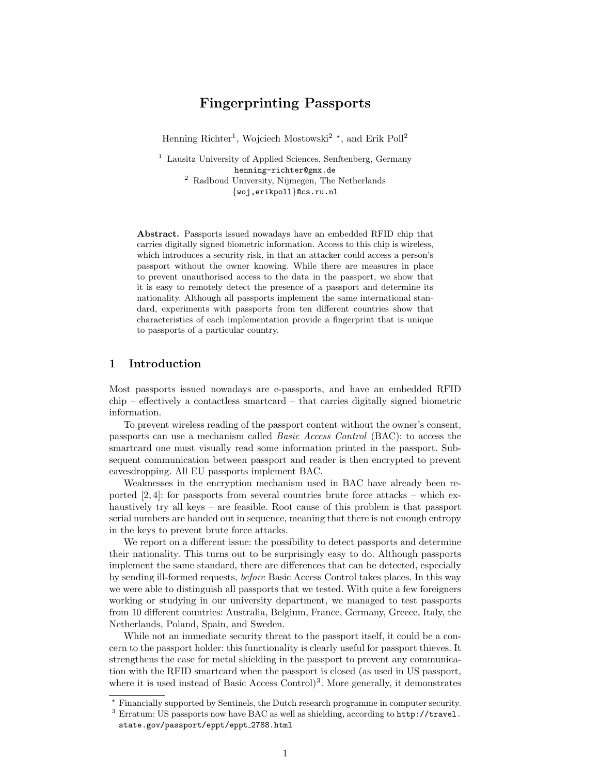# Fingerprinting Passports

Henning Richter<sup>1</sup>, Wojciech Mostowski<sup>2</sup><sup>\*</sup>, and Erik Poll<sup>2</sup>

<sup>1</sup> Lausitz University of Applied Sciences, Senftenberg, Germany henning-richter@gmx.de <sup>2</sup> Radboud University, Nijmegen, The Netherlands {woj,erikpoll}@cs.ru.nl

Abstract. Passports issued nowadays have an embedded RFID chip that carries digitally signed biometric information. Access to this chip is wireless, which introduces a security risk, in that an attacker could access a person's passport without the owner knowing. While there are measures in place to prevent unauthorised access to the data in the passport, we show that it is easy to remotely detect the presence of a passport and determine its nationality. Although all passports implement the same international standard, experiments with passports from ten different countries show that characteristics of each implementation provide a fingerprint that is unique to passports of a particular country.

## 1 Introduction

Most passports issued nowadays are e-passports, and have an embedded RFID chip – effectively a contactless smartcard – that carries digitally signed biometric information.

To prevent wireless reading of the passport content without the owner's consent, passports can use a mechanism called Basic Access Control (BAC): to access the smartcard one must visually read some information printed in the passport. Subsequent communication between passport and reader is then encrypted to prevent eavesdropping. All EU passports implement BAC.

Weaknesses in the encryption mechanism used in BAC have already been reported  $[2, 4]$ : for passports from several countries brute force attacks – which exhaustively try all keys – are feasible. Root cause of this problem is that passport serial numbers are handed out in sequence, meaning that there is not enough entropy in the keys to prevent brute force attacks.

We report on a different issue: the possibility to detect passports and determine their nationality. This turns out to be surprisingly easy to do. Although passports implement the same standard, there are differences that can be detected, especially by sending ill-formed requests, before Basic Access Control takes places. In this way we were able to distinguish all passports that we tested. With quite a few foreigners working or studying in our university department, we managed to test passports from 10 different countries: Australia, Belgium, France, Germany, Greece, Italy, the Netherlands, Poland, Spain, and Sweden.

While not an immediate security threat to the passport itself, it could be a concern to the passport holder: this functionality is clearly useful for passport thieves. It strengthens the case for metal shielding in the passport to prevent any communication with the RFID smartcard when the passport is closed (as used in US passport, where it is used instead of Basic Access Control)<sup>3</sup>. More generally, it demonstrates

<sup>?</sup> Financially supported by Sentinels, the Dutch research programme in computer security.

 $3$  Erratum: US passports now have BAC as well as shielding, according to  $http://travel.c$ . state.gov/passport/eppt/eppt 2788.html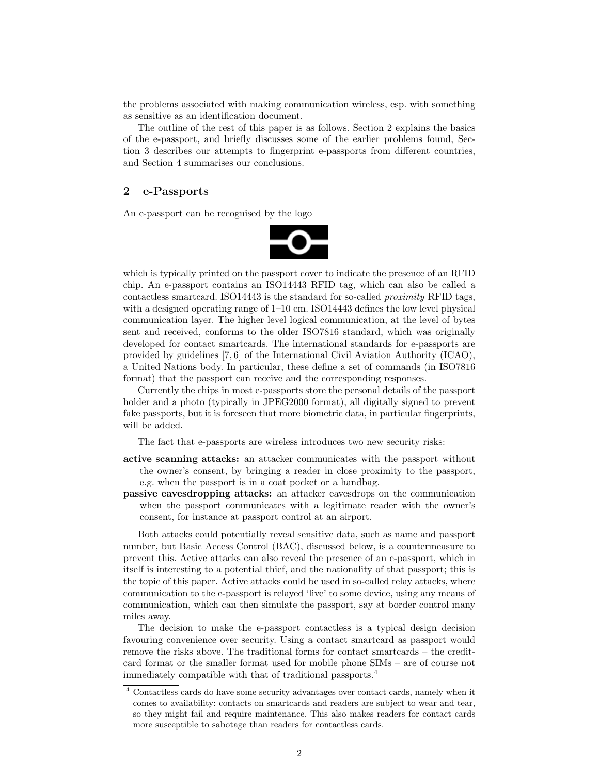the problems associated with making communication wireless, esp. with something as sensitive as an identification document.

The outline of the rest of this paper is as follows. Section 2 explains the basics of the e-passport, and briefly discusses some of the earlier problems found, Section 3 describes our attempts to fingerprint e-passports from different countries, and Section 4 summarises our conclusions.

# 2 e-Passports

An e-passport can be recognised by the logo



which is typically printed on the passport cover to indicate the presence of an RFID chip. An e-passport contains an ISO14443 RFID tag, which can also be called a contactless smartcard. ISO14443 is the standard for so-called proximity RFID tags, with a designed operating range of  $1-10$  cm. ISO14443 defines the low level physical communication layer. The higher level logical communication, at the level of bytes sent and received, conforms to the older ISO7816 standard, which was originally developed for contact smartcards. The international standards for e-passports are provided by guidelines [7, 6] of the International Civil Aviation Authority (ICAO), a United Nations body. In particular, these define a set of commands (in ISO7816 format) that the passport can receive and the corresponding responses.

Currently the chips in most e-passports store the personal details of the passport holder and a photo (typically in JPEG2000 format), all digitally signed to prevent fake passports, but it is foreseen that more biometric data, in particular fingerprints, will be added.

The fact that e-passports are wireless introduces two new security risks:

- active scanning attacks: an attacker communicates with the passport without the owner's consent, by bringing a reader in close proximity to the passport, e.g. when the passport is in a coat pocket or a handbag.
- passive eavesdropping attacks: an attacker eavesdrops on the communication when the passport communicates with a legitimate reader with the owner's consent, for instance at passport control at an airport.

Both attacks could potentially reveal sensitive data, such as name and passport number, but Basic Access Control (BAC), discussed below, is a countermeasure to prevent this. Active attacks can also reveal the presence of an e-passport, which in itself is interesting to a potential thief, and the nationality of that passport; this is the topic of this paper. Active attacks could be used in so-called relay attacks, where communication to the e-passport is relayed 'live' to some device, using any means of communication, which can then simulate the passport, say at border control many miles away.

The decision to make the e-passport contactless is a typical design decision favouring convenience over security. Using a contact smartcard as passport would remove the risks above. The traditional forms for contact smartcards – the creditcard format or the smaller format used for mobile phone SIMs – are of course not immediately compatible with that of traditional passports.<sup>4</sup>

<sup>4</sup> Contactless cards do have some security advantages over contact cards, namely when it comes to availability: contacts on smartcards and readers are subject to wear and tear, so they might fail and require maintenance. This also makes readers for contact cards more susceptible to sabotage than readers for contactless cards.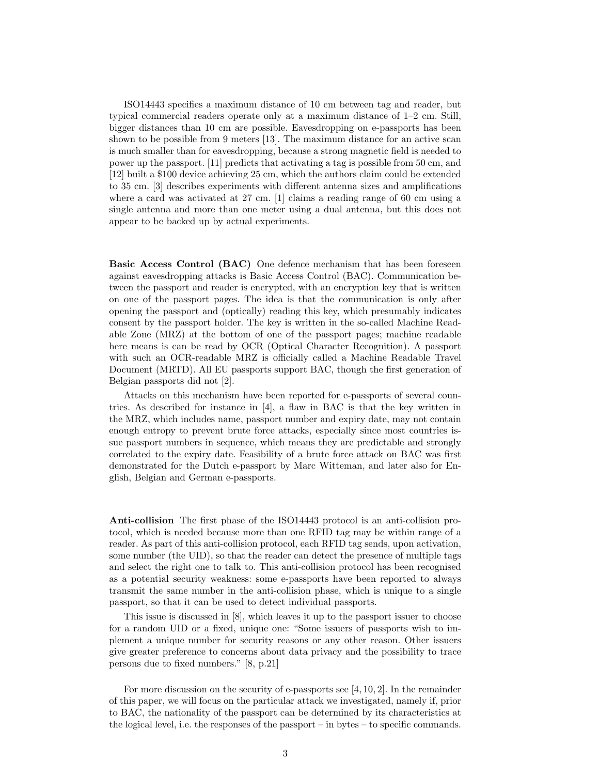ISO14443 specifies a maximum distance of 10 cm between tag and reader, but typical commercial readers operate only at a maximum distance of 1–2 cm. Still, bigger distances than 10 cm are possible. Eavesdropping on e-passports has been shown to be possible from 9 meters [13]. The maximum distance for an active scan is much smaller than for eavesdropping, because a strong magnetic field is needed to power up the passport. [11] predicts that activating a tag is possible from 50 cm, and [12] built a \$100 device achieving 25 cm, which the authors claim could be extended to 35 cm. [3] describes experiments with different antenna sizes and amplifications where a card was activated at 27 cm. [1] claims a reading range of 60 cm using a single antenna and more than one meter using a dual antenna, but this does not appear to be backed up by actual experiments.

Basic Access Control (BAC) One defence mechanism that has been foreseen against eavesdropping attacks is Basic Access Control (BAC). Communication between the passport and reader is encrypted, with an encryption key that is written on one of the passport pages. The idea is that the communication is only after opening the passport and (optically) reading this key, which presumably indicates consent by the passport holder. The key is written in the so-called Machine Readable Zone (MRZ) at the bottom of one of the passport pages; machine readable here means is can be read by OCR (Optical Character Recognition). A passport with such an OCR-readable MRZ is officially called a Machine Readable Travel Document (MRTD). All EU passports support BAC, though the first generation of Belgian passports did not [2].

Attacks on this mechanism have been reported for e-passports of several countries. As described for instance in [4], a flaw in BAC is that the key written in the MRZ, which includes name, passport number and expiry date, may not contain enough entropy to prevent brute force attacks, especially since most countries issue passport numbers in sequence, which means they are predictable and strongly correlated to the expiry date. Feasibility of a brute force attack on BAC was first demonstrated for the Dutch e-passport by Marc Witteman, and later also for English, Belgian and German e-passports.

Anti-collision The first phase of the ISO14443 protocol is an anti-collision protocol, which is needed because more than one RFID tag may be within range of a reader. As part of this anti-collision protocol, each RFID tag sends, upon activation, some number (the UID), so that the reader can detect the presence of multiple tags and select the right one to talk to. This anti-collision protocol has been recognised as a potential security weakness: some e-passports have been reported to always transmit the same number in the anti-collision phase, which is unique to a single passport, so that it can be used to detect individual passports.

This issue is discussed in [8], which leaves it up to the passport issuer to choose for a random UID or a fixed, unique one: "Some issuers of passports wish to implement a unique number for security reasons or any other reason. Other issuers give greater preference to concerns about data privacy and the possibility to trace persons due to fixed numbers." [8, p.21]

For more discussion on the security of e-passports see  $[4, 10, 2]$ . In the remainder of this paper, we will focus on the particular attack we investigated, namely if, prior to BAC, the nationality of the passport can be determined by its characteristics at the logical level, i.e. the responses of the passport  $-$  in bytes  $-$  to specific commands.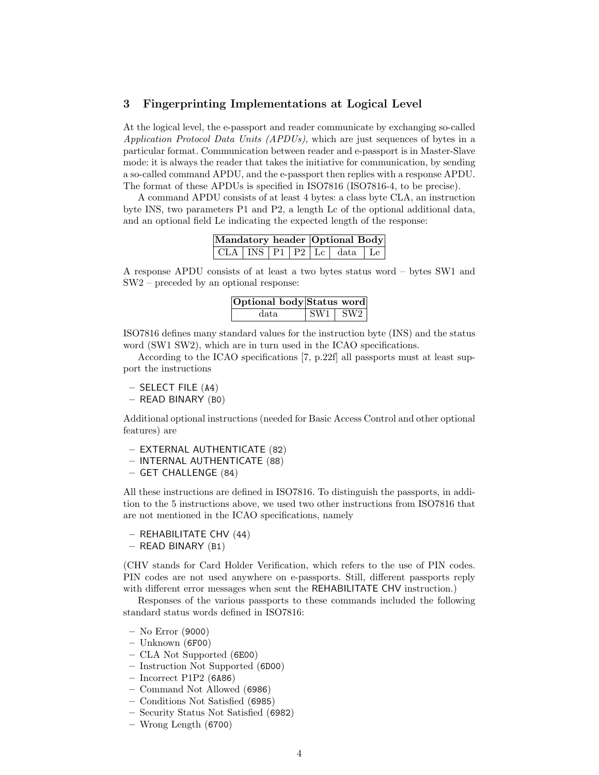# 3 Fingerprinting Implementations at Logical Level

At the logical level, the e-passport and reader communicate by exchanging so-called Application Protocol Data Units (APDUs), which are just sequences of bytes in a particular format. Communication between reader and e-passport is in Master-Slave mode: it is always the reader that takes the initiative for communication, by sending a so-called command APDU, and the e-passport then replies with a response APDU. The format of these APDUs is specified in ISO7816 (ISO7816-4, to be precise).

A command APDU consists of at least 4 bytes: a class byte CLA, an instruction byte INS, two parameters P1 and P2, a length Lc of the optional additional data, and an optional field Le indicating the expected length of the response:

|  |  | Mandatory header Optional Body     |  |
|--|--|------------------------------------|--|
|  |  | $CLA$ $INS$ $P1$ $P2$ $Lc$ data Le |  |

A response APDU consists of at least a two bytes status word – bytes SW1 and SW2 – preceded by an optional response:

| Optional body Status word |                    |
|---------------------------|--------------------|
| data.                     | $\sqrt{SW1 + SW2}$ |

ISO7816 defines many standard values for the instruction byte (INS) and the status word (SW1 SW2), which are in turn used in the ICAO specifications.

According to the ICAO specifications [7, p.22f] all passports must at least support the instructions

- SELECT FILE (A4)
- READ BINARY (B0)

Additional optional instructions (needed for Basic Access Control and other optional features) are

- EXTERNAL AUTHENTICATE (82)
- INTERNAL AUTHENTICATE (88)
- GET CHALLENGE (84)

All these instructions are defined in ISO7816. To distinguish the passports, in addition to the 5 instructions above, we used two other instructions from ISO7816 that are not mentioned in the ICAO specifications, namely

- REHABILITATE CHV (44)
- READ BINARY (B1)

(CHV stands for Card Holder Verification, which refers to the use of PIN codes. PIN codes are not used anywhere on e-passports. Still, different passports reply with different error messages when sent the REHABILITATE CHV instruction.)

Responses of the various passports to these commands included the following standard status words defined in ISO7816:

- No Error (9000)
- Unknown (6F00)
- CLA Not Supported (6E00)
- Instruction Not Supported (6D00)
- Incorrect P1P2 (6A86)
- Command Not Allowed (6986)
- Conditions Not Satisfied (6985)
- Security Status Not Satisfied (6982)
- Wrong Length (6700)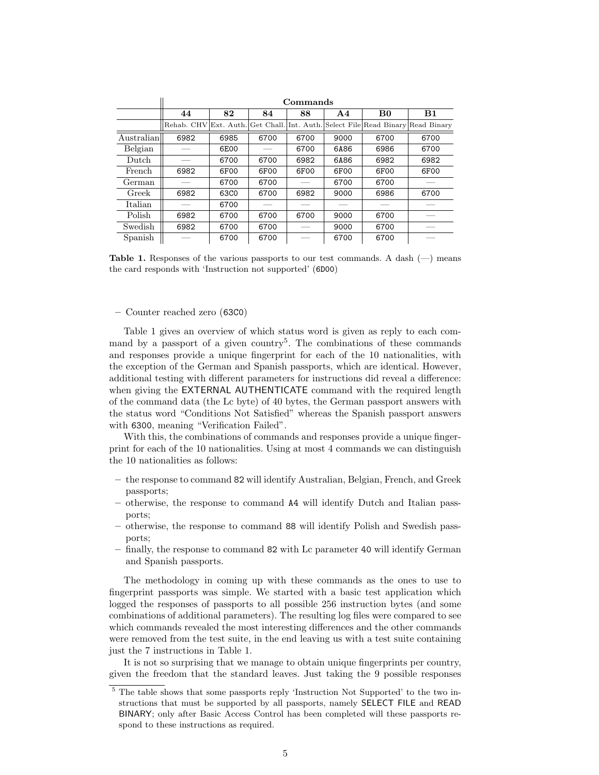|              | Commands   |                  |      |      |               |                                                                      |      |
|--------------|------------|------------------|------|------|---------------|----------------------------------------------------------------------|------|
|              | 44         | 82               | 84   | 88   | $\mathbf{A4}$ | B <sub>0</sub>                                                       | B1   |
|              | Rehab. CHV |                  |      |      |               | Ext. Auth. Get Chall. Int. Auth. Select File Read Binary Read Binary |      |
| Australian   | 6982       | 6985             | 6700 | 6700 | 9000          | 6700                                                                 | 6700 |
| Belgian      |            | 6E00             |      | 6700 | 6A86          | 6986                                                                 | 6700 |
| $\rm{Dutch}$ |            | 6700             | 6700 | 6982 | 6A86          | 6982                                                                 | 6982 |
| French       | 6982       | 6F00             | 6F00 | 6F00 | 6F00          | 6F00                                                                 | 6F00 |
| German       |            | 6700             | 6700 |      | 6700          | 6700                                                                 |      |
| Greek        | 6982       | 63C <sub>0</sub> | 6700 | 6982 | 9000          | 6986                                                                 | 6700 |
| Italian      |            | 6700             |      |      |               |                                                                      |      |
| Polish       | 6982       | 6700             | 6700 | 6700 | 9000          | 6700                                                                 |      |
| Swedish      | 6982       | 6700             | 6700 |      | 9000          | 6700                                                                 |      |
| Spanish      |            | 6700             | 6700 |      | 6700          | 6700                                                                 |      |

**Table 1.** Responses of the various passports to our test commands. A dash  $(-)$  means the card responds with 'Instruction not supported' (6D00)

– Counter reached zero (63C0)

Table 1 gives an overview of which status word is given as reply to each command by a passport of a given country<sup>5</sup>. The combinations of these commands and responses provide a unique fingerprint for each of the 10 nationalities, with the exception of the German and Spanish passports, which are identical. However, additional testing with different parameters for instructions did reveal a difference: when giving the EXTERNAL AUTHENTICATE command with the required length of the command data (the Lc byte) of 40 bytes, the German passport answers with the status word "Conditions Not Satisfied" whereas the Spanish passport answers with 6300, meaning "Verification Failed".

With this, the combinations of commands and responses provide a unique fingerprint for each of the 10 nationalities. Using at most 4 commands we can distinguish the 10 nationalities as follows:

- the response to command 82 will identify Australian, Belgian, French, and Greek passports;
- otherwise, the response to command A4 will identify Dutch and Italian passports;
- otherwise, the response to command 88 will identify Polish and Swedish passports;
- finally, the response to command 82 with Lc parameter 40 will identify German and Spanish passports.

The methodology in coming up with these commands as the ones to use to fingerprint passports was simple. We started with a basic test application which logged the responses of passports to all possible 256 instruction bytes (and some combinations of additional parameters). The resulting log files were compared to see which commands revealed the most interesting differences and the other commands were removed from the test suite, in the end leaving us with a test suite containing just the 7 instructions in Table 1.

It is not so surprising that we manage to obtain unique fingerprints per country, given the freedom that the standard leaves. Just taking the 9 possible responses

<sup>5</sup> The table shows that some passports reply 'Instruction Not Supported' to the two instructions that must be supported by all passports, namely SELECT FILE and READ BINARY; only after Basic Access Control has been completed will these passports respond to these instructions as required.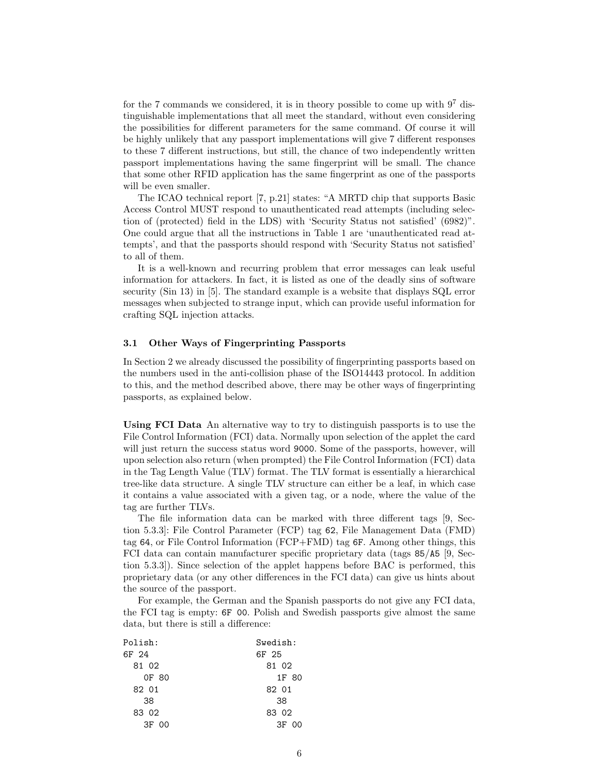for the 7 commands we considered, it is in theory possible to come up with  $9^7$  distinguishable implementations that all meet the standard, without even considering the possibilities for different parameters for the same command. Of course it will be highly unlikely that any passport implementations will give 7 different responses to these 7 different instructions, but still, the chance of two independently written passport implementations having the same fingerprint will be small. The chance that some other RFID application has the same fingerprint as one of the passports will be even smaller.

The ICAO technical report [7, p.21] states: "A MRTD chip that supports Basic Access Control MUST respond to unauthenticated read attempts (including selection of (protected) field in the LDS) with 'Security Status not satisfied' (6982)". One could argue that all the instructions in Table 1 are 'unauthenticated read attempts', and that the passports should respond with 'Security Status not satisfied' to all of them.

It is a well-known and recurring problem that error messages can leak useful information for attackers. In fact, it is listed as one of the deadly sins of software security (Sin 13) in [5]. The standard example is a website that displays SQL error messages when subjected to strange input, which can provide useful information for crafting SQL injection attacks.

#### 3.1 Other Ways of Fingerprinting Passports

In Section 2 we already discussed the possibility of fingerprinting passports based on the numbers used in the anti-collision phase of the ISO14443 protocol. In addition to this, and the method described above, there may be other ways of fingerprinting passports, as explained below.

Using FCI Data An alternative way to try to distinguish passports is to use the File Control Information (FCI) data. Normally upon selection of the applet the card will just return the success status word 9000. Some of the passports, however, will upon selection also return (when prompted) the File Control Information (FCI) data in the Tag Length Value (TLV) format. The TLV format is essentially a hierarchical tree-like data structure. A single TLV structure can either be a leaf, in which case it contains a value associated with a given tag, or a node, where the value of the tag are further TLVs.

The file information data can be marked with three different tags [9, Section 5.3.3]: File Control Parameter (FCP) tag 62, File Management Data (FMD) tag 64, or File Control Information (FCP+FMD) tag 6F. Among other things, this FCI data can contain manufacturer specific proprietary data (tags 85/A5 [9, Section 5.3.3]). Since selection of the applet happens before BAC is performed, this proprietary data (or any other differences in the FCI data) can give us hints about the source of the passport.

For example, the German and the Spanish passports do not give any FCI data, the FCI tag is empty: 6F 00. Polish and Swedish passports give almost the same data, but there is still a difference:

| Polish:    | Swedish: |
|------------|----------|
| 6F 24      | 6F 25    |
| 81 02      | 81 02    |
| OF 80      | 1F 80    |
| 82 01      | 82 01    |
| 38         | 38       |
| 83 02      | 83 02    |
| 3F -<br>00 | 3F 00    |
|            |          |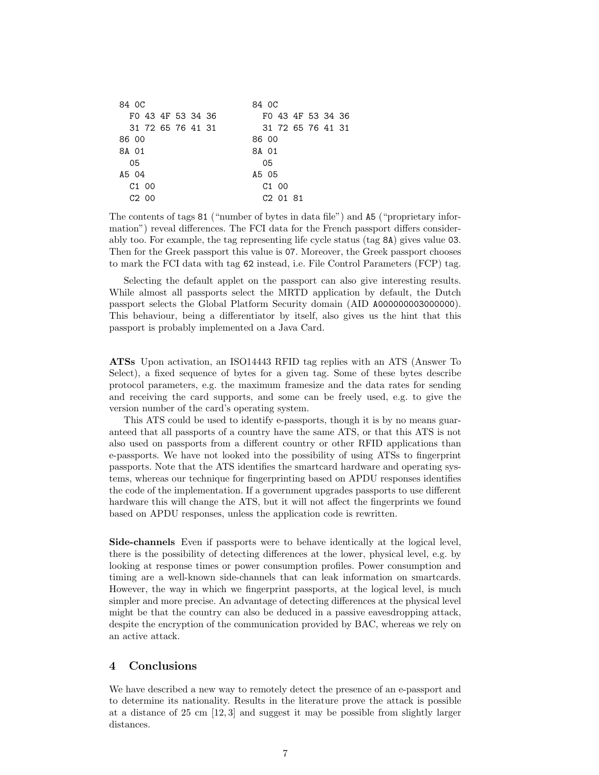| 84 OC             | 84 OC             |
|-------------------|-------------------|
| FO 43 4F 53 34 36 | FO 43 4F 53 34 36 |
| 31 72 65 76 41 31 | 31 72 65 76 41 31 |
| 86 00             | 86 00             |
| 8A 01             | 8A 01             |
| 05                | 05                |
| A5 04             | A5 05             |
| C <sub>1</sub> 00 | C <sub>1</sub> 00 |
| C <sub>2</sub> 00 | C2 01 81          |

The contents of tags 81 ("number of bytes in data file") and A5 ("proprietary information") reveal differences. The FCI data for the French passport differs considerably too. For example, the tag representing life cycle status (tag 8A) gives value 03. Then for the Greek passport this value is 07. Moreover, the Greek passport chooses to mark the FCI data with tag 62 instead, i.e. File Control Parameters (FCP) tag.

Selecting the default applet on the passport can also give interesting results. While almost all passports select the MRTD application by default, the Dutch passport selects the Global Platform Security domain (AID A000000003000000). This behaviour, being a differentiator by itself, also gives us the hint that this passport is probably implemented on a Java Card.

ATSs Upon activation, an ISO14443 RFID tag replies with an ATS (Answer To Select), a fixed sequence of bytes for a given tag. Some of these bytes describe protocol parameters, e.g. the maximum framesize and the data rates for sending and receiving the card supports, and some can be freely used, e.g. to give the version number of the card's operating system.

This ATS could be used to identify e-passports, though it is by no means guaranteed that all passports of a country have the same ATS, or that this ATS is not also used on passports from a different country or other RFID applications than e-passports. We have not looked into the possibility of using ATSs to fingerprint passports. Note that the ATS identifies the smartcard hardware and operating systems, whereas our technique for fingerprinting based on APDU responses identifies the code of the implementation. If a government upgrades passports to use different hardware this will change the ATS, but it will not affect the fingerprints we found based on APDU responses, unless the application code is rewritten.

Side-channels Even if passports were to behave identically at the logical level, there is the possibility of detecting differences at the lower, physical level, e.g. by looking at response times or power consumption profiles. Power consumption and timing are a well-known side-channels that can leak information on smartcards. However, the way in which we fingerprint passports, at the logical level, is much simpler and more precise. An advantage of detecting differences at the physical level might be that the country can also be deduced in a passive eavesdropping attack, despite the encryption of the communication provided by BAC, whereas we rely on an active attack.

## 4 Conclusions

We have described a new way to remotely detect the presence of an e-passport and to determine its nationality. Results in the literature prove the attack is possible at a distance of 25 cm [12, 3] and suggest it may be possible from slightly larger distances.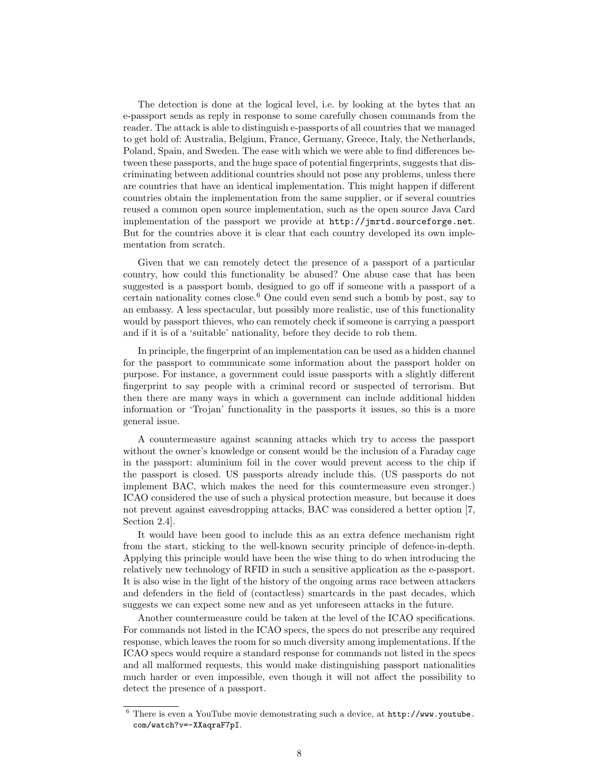The detection is done at the logical level, i.e. by looking at the bytes that an e-passport sends as reply in response to some carefully chosen commands from the reader. The attack is able to distinguish e-passports of all countries that we managed to get hold of: Australia, Belgium, France, Germany, Greece, Italy, the Netherlands, Poland, Spain, and Sweden. The ease with which we were able to find differences between these passports, and the huge space of potential fingerprints, suggests that discriminating between additional countries should not pose any problems, unless there are countries that have an identical implementation. This might happen if different countries obtain the implementation from the same supplier, or if several countries reused a common open source implementation, such as the open source Java Card implementation of the passport we provide at http://jmrtd.sourceforge.net. But for the countries above it is clear that each country developed its own implementation from scratch.

Given that we can remotely detect the presence of a passport of a particular country, how could this functionality be abused? One abuse case that has been suggested is a passport bomb, designed to go off if someone with a passport of a certain nationality comes close.<sup>6</sup> One could even send such a bomb by post, say to an embassy. A less spectacular, but possibly more realistic, use of this functionality would by passport thieves, who can remotely check if someone is carrying a passport and if it is of a 'suitable' nationality, before they decide to rob them.

In principle, the fingerprint of an implementation can be used as a hidden channel for the passport to communicate some information about the passport holder on purpose. For instance, a government could issue passports with a slightly different fingerprint to say people with a criminal record or suspected of terrorism. But then there are many ways in which a government can include additional hidden information or 'Trojan' functionality in the passports it issues, so this is a more general issue.

A countermeasure against scanning attacks which try to access the passport without the owner's knowledge or consent would be the inclusion of a Faraday cage in the passport: aluminium foil in the cover would prevent access to the chip if the passport is closed. US passports already include this. (US passports do not implement BAC, which makes the need for this countermeasure even stronger.) ICAO considered the use of such a physical protection measure, but because it does not prevent against eavesdropping attacks, BAC was considered a better option [7, Section 2.4].

It would have been good to include this as an extra defence mechanism right from the start, sticking to the well-known security principle of defence-in-depth. Applying this principle would have been the wise thing to do when introducing the relatively new technology of RFID in such a sensitive application as the e-passport. It is also wise in the light of the history of the ongoing arms race between attackers and defenders in the field of (contactless) smartcards in the past decades, which suggests we can expect some new and as yet unforeseen attacks in the future.

Another countermeasure could be taken at the level of the ICAO specifications. For commands not listed in the ICAO specs, the specs do not prescribe any required response, which leaves the room for so much diversity among implementations. If the ICAO specs would require a standard response for commands not listed in the specs and all malformed requests, this would make distinguishing passport nationalities much harder or even impossible, even though it will not affect the possibility to detect the presence of a passport.

<sup>6</sup> There is even a YouTube movie demonstrating such a device, at http://www.youtube. com/watch?v=-XXaqraF7pI.